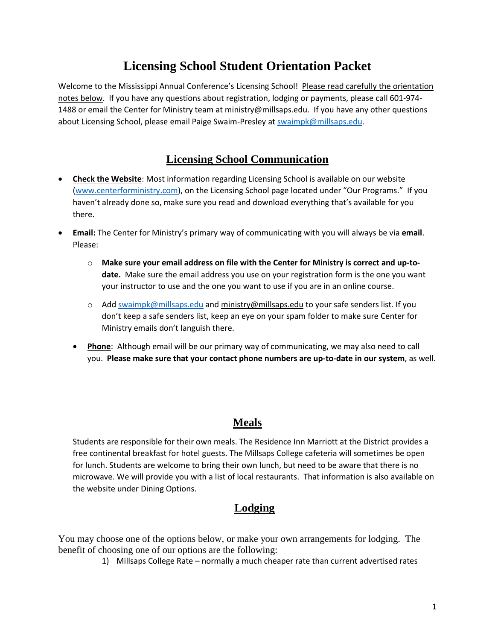# **Licensing School Student Orientation Packet**

Welcome to the Mississippi Annual Conference's Licensing School! Please read carefully the orientation notes below. If you have any questions about registration, lodging or payments, please call 601-974- 1488 or email the Center for Ministry team at ministry@millsaps.edu. If you have any other questions about Licensing School, please email Paige Swaim-Presley at [swaimpk@millsaps.edu.](mailto:swaimpk@millsaps.edu)

# **Licensing School Communication**

- **Check the Website**: Most information regarding Licensing School is available on our website [\(www.centerforministry.com\)](http://www.centerforministry.com/), on the Licensing School page located under "Our Programs." If you haven't already done so, make sure you read and download everything that's available for you there.
- **Email:** The Center for Ministry's primary way of communicating with you will always be via **email**. Please:
	- o **Make sure your email address on file with the Center for Ministry is correct and up-todate.** Make sure the email address you use on your registration form is the one you want your instructor to use and the one you want to use if you are in an online course.
	- $\circ$  Add [swaimpk@millsaps.edu](mailto:swaimpk@millsaps.edu) and [ministry@millsaps.edu](mailto:ministry@millsaps.edu) to your safe senders list. If you don't keep a safe senders list, keep an eye on your spam folder to make sure Center for Ministry emails don't languish there.
	- **Phone**: Although email will be our primary way of communicating, we may also need to call you. **Please make sure that your contact phone numbers are up-to-date in our system**, as well.

# **Meals**

Students are responsible for their own meals. The Residence Inn Marriott at the District provides a free continental breakfast for hotel guests. The Millsaps College cafeteria will sometimes be open for lunch. Students are welcome to bring their own lunch, but need to be aware that there is no microwave. We will provide you with a list of local restaurants. That information is also available on the website under Dining Options.

# **Lodging**

You may choose one of the options below, or make your own arrangements for lodging. The benefit of choosing one of our options are the following:

1) Millsaps College Rate – normally a much cheaper rate than current advertised rates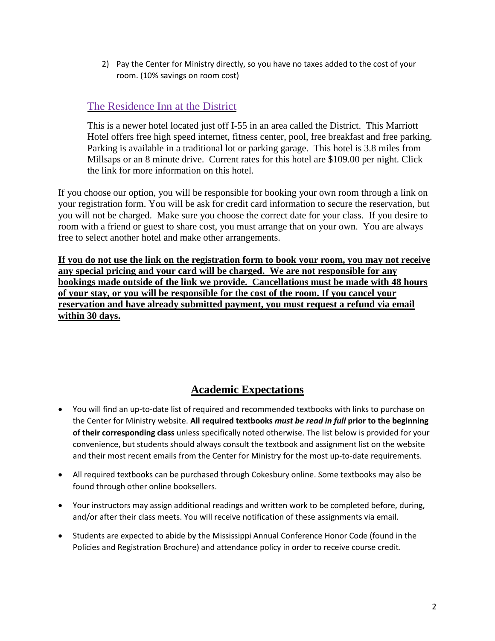2) Pay the Center for Ministry directly, so you have no taxes added to the cost of your room. (10% savings on room cost)

# The [Residence](https://www.marriott.com/hotels/fact-sheet/travel/janmd-residence-inn-jackson-the-district-at-eastover/) Inn at the District

This is a newer hotel located just off I-55 in an area called the District. This Marriott Hotel offers free high speed internet, fitness center, pool, free breakfast and free parking. Parking is available in a traditional lot or parking garage. This hotel is 3.8 miles from Millsaps or an 8 minute drive. Current rates for this hotel are \$109.00 per night. Click the link for more information on this hotel.

If you choose our option, you will be responsible for booking your own room through a link on your registration form. You will be ask for credit card information to secure the reservation, but you will not be charged. Make sure you choose the correct date for your class. If you desire to room with a friend or guest to share cost, you must arrange that on your own. You are always free to select another hotel and make other arrangements.

**If you do not use the link on the registration form to book your room, you may not receive any special pricing and your card will be charged. We are not responsible for any bookings made outside of the link we provide. Cancellations must be made with 48 hours of your stay, or you will be responsible for the cost of the room. If you cancel your reservation and have already submitted payment, you must request a refund via email within 30 days.**

# **Academic Expectations**

- You will find an up-to-date list of required and recommended textbooks with links to purchase on the Center for Ministry website. **All required textbooks** *must be read in full* **prior to the beginning of their corresponding class** unless specifically noted otherwise. The list below is provided for your convenience, but students should always consult the textbook and assignment list on the website and their most recent emails from the Center for Ministry for the most up-to-date requirements.
- All required textbooks can be purchased through Cokesbury online. Some textbooks may also be found through other online booksellers.
- Your instructors may assign additional readings and written work to be completed before, during, and/or after their class meets. You will receive notification of these assignments via email.
- Students are expected to abide by the Mississippi Annual Conference Honor Code (found in the Policies and Registration Brochure) and attendance policy in order to receive course credit.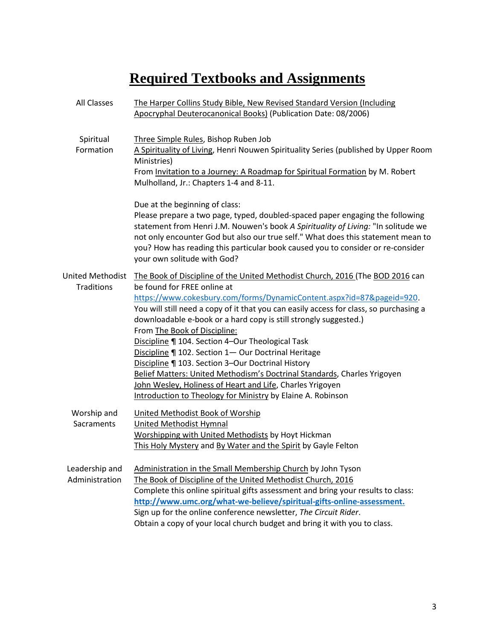# **Required Textbooks and Assignments**

| <b>All Classes</b>                           | The Harper Collins Study Bible, New Revised Standard Version (Including<br>Apocryphal Deuterocanonical Books) (Publication Date: 08/2006)                                                                                                                                                                                                                                                                                                                                                                                                                                                                                                                                                                                                                   |
|----------------------------------------------|-------------------------------------------------------------------------------------------------------------------------------------------------------------------------------------------------------------------------------------------------------------------------------------------------------------------------------------------------------------------------------------------------------------------------------------------------------------------------------------------------------------------------------------------------------------------------------------------------------------------------------------------------------------------------------------------------------------------------------------------------------------|
| Spiritual<br>Formation                       | Three Simple Rules, Bishop Ruben Job<br>A Spirituality of Living, Henri Nouwen Spirituality Series (published by Upper Room<br>Ministries)<br>From Invitation to a Journey: A Roadmap for Spiritual Formation by M. Robert<br>Mulholland, Jr.: Chapters 1-4 and 8-11.                                                                                                                                                                                                                                                                                                                                                                                                                                                                                       |
|                                              | Due at the beginning of class:<br>Please prepare a two page, typed, doubled-spaced paper engaging the following<br>statement from Henri J.M. Nouwen's book A Spirituality of Living: "In solitude we<br>not only encounter God but also our true self." What does this statement mean to<br>you? How has reading this particular book caused you to consider or re-consider<br>your own solitude with God?                                                                                                                                                                                                                                                                                                                                                  |
| <b>United Methodist</b><br><b>Traditions</b> | The Book of Discipline of the United Methodist Church, 2016 (The BOD 2016 can<br>be found for FREE online at<br>https://www.cokesbury.com/forms/DynamicContent.aspx?id=87&pageid=920.<br>You will still need a copy of it that you can easily access for class, so purchasing a<br>downloadable e-book or a hard copy is still strongly suggested.)<br>From The Book of Discipline:<br>Discipline   104. Section 4-Our Theological Task<br>Discipline   102. Section 1- Our Doctrinal Heritage<br>Discipline   103. Section 3-Our Doctrinal History<br>Belief Matters: United Methodism's Doctrinal Standards, Charles Yrigoyen<br>John Wesley, Holiness of Heart and Life, Charles Yrigoyen<br>Introduction to Theology for Ministry by Elaine A. Robinson |
| Worship and<br>Sacraments                    | United Methodist Book of Worship<br><b>United Methodist Hymnal</b><br>Worshipping with United Methodists by Hoyt Hickman<br>This Holy Mystery and By Water and the Spirit by Gayle Felton                                                                                                                                                                                                                                                                                                                                                                                                                                                                                                                                                                   |
| Leadership and<br>Administration             | Administration in the Small Membership Church by John Tyson<br>The Book of Discipline of the United Methodist Church, 2016<br>Complete this online spiritual gifts assessment and bring your results to class:<br>http://www.umc.org/what-we-believe/spiritual-gifts-online-assessment.<br>Sign up for the online conference newsletter, The Circuit Rider.<br>Obtain a copy of your local church budget and bring it with you to class.                                                                                                                                                                                                                                                                                                                    |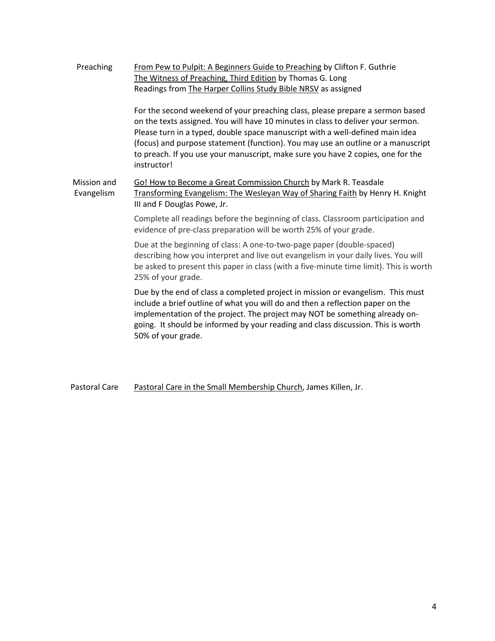| Preaching                 | From Pew to Pulpit: A Beginners Guide to Preaching by Clifton F. Guthrie<br>The Witness of Preaching, Third Edition by Thomas G. Long<br>Readings from The Harper Collins Study Bible NRSV as assigned                                                                                                                                                                                                                                   |
|---------------------------|------------------------------------------------------------------------------------------------------------------------------------------------------------------------------------------------------------------------------------------------------------------------------------------------------------------------------------------------------------------------------------------------------------------------------------------|
|                           | For the second weekend of your preaching class, please prepare a sermon based<br>on the texts assigned. You will have 10 minutes in class to deliver your sermon.<br>Please turn in a typed, double space manuscript with a well-defined main idea<br>(focus) and purpose statement (function). You may use an outline or a manuscript<br>to preach. If you use your manuscript, make sure you have 2 copies, one for the<br>instructor! |
| Mission and<br>Evangelism | Go! How to Become a Great Commission Church by Mark R. Teasdale<br>Transforming Evangelism: The Wesleyan Way of Sharing Faith by Henry H. Knight<br>III and F Douglas Powe, Jr.                                                                                                                                                                                                                                                          |
|                           | Complete all readings before the beginning of class. Classroom participation and<br>evidence of pre-class preparation will be worth 25% of your grade.                                                                                                                                                                                                                                                                                   |
|                           | Due at the beginning of class: A one-to-two-page paper (double-spaced)<br>describing how you interpret and live out evangelism in your daily lives. You will<br>be asked to present this paper in class (with a five-minute time limit). This is worth<br>25% of your grade.                                                                                                                                                             |
|                           | Due by the end of class a completed project in mission or evangelism. This must<br>include a brief outline of what you will do and then a reflection paper on the<br>implementation of the project. The project may NOT be something already on-<br>going. It should be informed by your reading and class discussion. This is worth<br>50% of your grade.                                                                               |
|                           |                                                                                                                                                                                                                                                                                                                                                                                                                                          |

Pastoral Care Pastoral Care in the Small Membership Church, James Killen, Jr.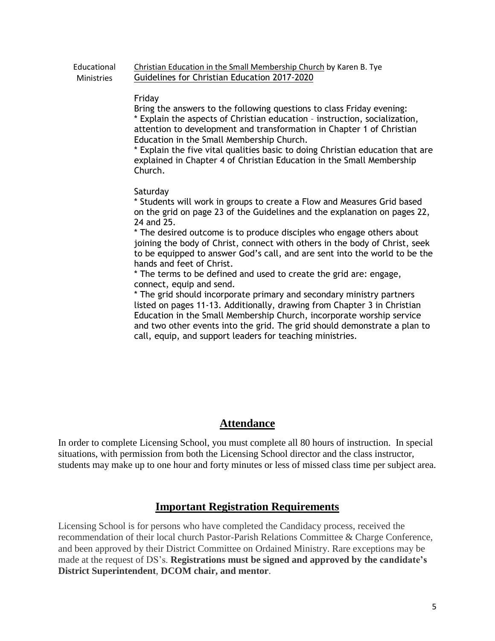#### **Educational Ministries** Christian Education in the Small Membership Church by Karen B. Tye Guidelines for Christian Education 2017-2020

### Friday

Bring the answers to the following questions to class Friday evening: \* Explain the aspects of Christian education – instruction, socialization, attention to development and transformation in Chapter 1 of Christian Education in the Small Membership Church.

\* Explain the five vital qualities basic to doing Christian education that are explained in Chapter 4 of Christian Education in the Small Membership Church.

### **Saturday**

\* Students will work in groups to create a Flow and Measures Grid based on the grid on page 23 of the Guidelines and the explanation on pages 22, 24 and 25.

\* The desired outcome is to produce disciples who engage others about joining the body of Christ, connect with others in the body of Christ, seek to be equipped to answer God's call, and are sent into the world to be the hands and feet of Christ.

\* The terms to be defined and used to create the grid are: engage, connect, equip and send.

\* The grid should incorporate primary and secondary ministry partners listed on pages 11-13. Additionally, drawing from Chapter 3 in Christian Education in the Small Membership Church, incorporate worship service and two other events into the grid. The grid should demonstrate a plan to call, equip, and support leaders for teaching ministries.

## **Attendance**

In order to complete Licensing School, you must complete all 80 hours of instruction. In special situations, with permission from both the Licensing School director and the class instructor, students may make up to one hour and forty minutes or less of missed class time per subject area.

# **Important Registration Requirements**

Licensing School is for persons who have completed the Candidacy process, received the recommendation of their local church Pastor-Parish Relations Committee & Charge Conference, and been approved by their District Committee on Ordained Ministry. Rare exceptions may be made at the request of DS's. **Registrations must be signed and approved by the candidate's District Superintendent**, **DCOM chair, and mentor**.